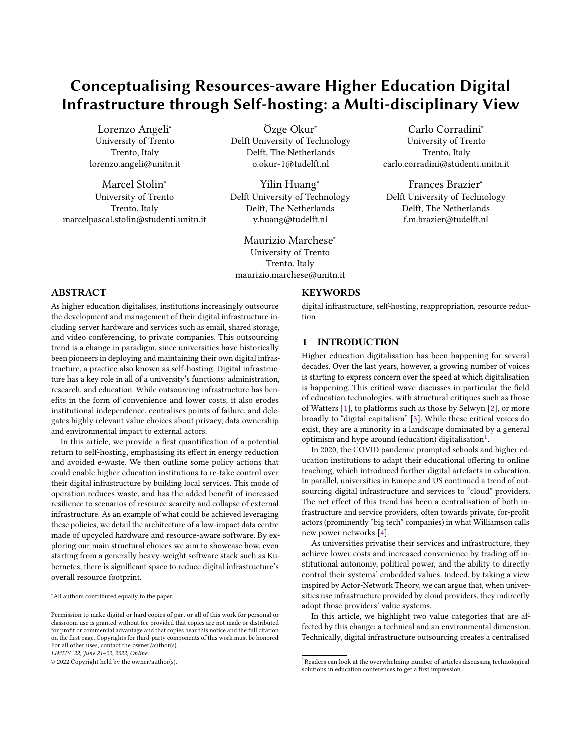# Conceptualising Resources-aware Higher Education Digital Infrastructure through Self-hosting: a Multi-disciplinary View

Lorenzo Angeli<sup>∗</sup> University of Trento Trento, Italy lorenzo.angeli@unitn.it

Marcel Stolin<sup>∗</sup> University of Trento Trento, Italy marcelpascal.stolin@studenti.unitn.it

Özge Okur<sup>∗</sup> Delft University of Technology Delft, The Netherlands o.okur-1@tudelft.nl

Yilin Huang<sup>∗</sup> Delft University of Technology Delft, The Netherlands y.huang@tudelft.nl

Maurizio Marchese<sup>∗</sup> University of Trento Trento, Italy maurizio.marchese@unitn.it

Carlo Corradini<sup>∗</sup> University of Trento Trento, Italy carlo.corradini@studenti.unitn.it

Frances Brazier<sup>∗</sup> Delft University of Technology Delft, The Netherlands f.m.brazier@tudelft.nl

## ABSTRACT

As higher education digitalises, institutions increasingly outsource the development and management of their digital infrastructure including server hardware and services such as email, shared storage, and video conferencing, to private companies. This outsourcing trend is a change in paradigm, since universities have historically been pioneers in deploying and maintaining their own digital infrastructure, a practice also known as self-hosting. Digital infrastructure has a key role in all of a university's functions: administration, research, and education. While outsourcing infrastructure has benefits in the form of convenience and lower costs, it also erodes institutional independence, centralises points of failure, and delegates highly relevant value choices about privacy, data ownership and environmental impact to external actors.

In this article, we provide a first quantification of a potential return to self-hosting, emphasising its effect in energy reduction and avoided e-waste. We then outline some policy actions that could enable higher education institutions to re-take control over their digital infrastructure by building local services. This mode of operation reduces waste, and has the added benefit of increased resilience to scenarios of resource scarcity and collapse of external infrastructure. As an example of what could be achieved leveraging these policies, we detail the architecture of a low-impact data centre made of upcycled hardware and resource-aware software. By exploring our main structural choices we aim to showcase how, even starting from a generally heavy-weight software stack such as Kubernetes, there is significant space to reduce digital infrastructure's overall resource footprint.

<sup>∗</sup>All authors contributed equally to the paper.

LIMITS '22, June 21–22, 2022, Online

© 2022 Copyright held by the owner/author(s).

# **KEYWORDS**

digital infrastructure, self-hosting, reappropriation, resource reduction

## 1 INTRODUCTION

Higher education digitalisation has been happening for several decades. Over the last years, however, a growing number of voices is starting to express concern over the speed at which digitalisation is happening. This critical wave discusses in particular the field of education technologies, with structural critiques such as those of Watters [\[1\]](#page-9-0), to platforms such as those by Selwyn [\[2\]](#page-10-0), or more broadly to "digital capitalism" [\[3\]](#page-10-1). While these critical voices do exist, they are a minority in a landscape dominated by a general optimism and hype around (education) digitalisation $^{1}$  $^{1}$  $^{1}$ .

In 2020, the COVID pandemic prompted schools and higher education institutions to adapt their educational offering to online teaching, which introduced further digital artefacts in education. In parallel, universities in Europe and US continued a trend of outsourcing digital infrastructure and services to "cloud" providers. The net effect of this trend has been a centralisation of both infrastructure and service providers, often towards private, for-profit actors (prominently "big tech" companies) in what Williamson calls new power networks [\[4\]](#page-10-2).

As universities privatise their services and infrastructure, they achieve lower costs and increased convenience by trading off institutional autonomy, political power, and the ability to directly control their systems' embedded values. Indeed, by taking a view inspired by Actor-Network Theory, we can argue that, when universities use infrastructure provided by cloud providers, they indirectly adopt those providers' value systems.

In this article, we highlight two value categories that are affected by this change: a technical and an environmental dimension. Technically, digital infrastructure outsourcing creates a centralised

Permission to make digital or hard copies of part or all of this work for personal or classroom use is granted without fee provided that copies are not made or distributed for profit or commercial advantage and that copies bear this notice and the full citation on the first page. Copyrights for third-party components of this work must be honored. For all other uses, contact the owner/author(s).

<span id="page-0-0"></span><sup>&</sup>lt;sup>1</sup>Readers can look at the overwhelming number of articles discussing technological solutions in education conferences to get a first impression.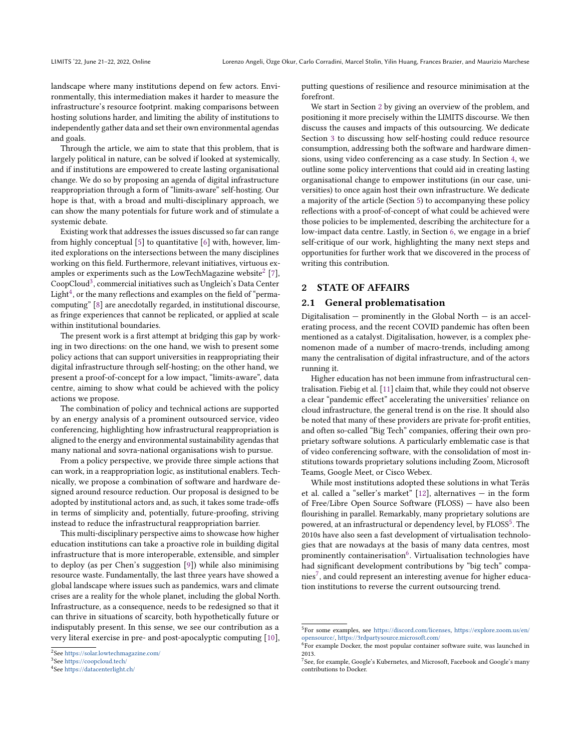landscape where many institutions depend on few actors. Environmentally, this intermediation makes it harder to measure the infrastructure's resource footprint. making comparisons between hosting solutions harder, and limiting the ability of institutions to independently gather data and set their own environmental agendas and goals.

Through the article, we aim to state that this problem, that is largely political in nature, can be solved if looked at systemically, and if institutions are empowered to create lasting organisational change. We do so by proposing an agenda of digital infrastructure reappropriation through a form of "limits-aware" self-hosting. Our hope is that, with a broad and multi-disciplinary approach, we can show the many potentials for future work and of stimulate a systemic debate.

Existing work that addresses the issues discussed so far can range from highly conceptual [\[5\]](#page-10-3) to quantitative [\[6\]](#page-10-4) with, however, limited explorations on the intersections between the many disciplines working on this field. Furthermore, relevant initiatives, virtuous examples or experiments such as the LowTechMagazine website $^2$  $^2$  [\[7\]](#page-10-5), CoopCloud<sup>[3](#page-1-1)</sup>, commercial initiatives such as Ungleich's Data Center Light $^4$  $^4$ , or the many reflections and examples on the field of "permacomputing" [\[8\]](#page-10-6) are anecdotally regarded, in institutional discourse, as fringe experiences that cannot be replicated, or applied at scale within institutional boundaries.

The present work is a first attempt at bridging this gap by working in two directions: on the one hand, we wish to present some policy actions that can support universities in reappropriating their digital infrastructure through self-hosting; on the other hand, we present a proof-of-concept for a low impact, "limits-aware", data centre, aiming to show what could be achieved with the policy actions we propose.

The combination of policy and technical actions are supported by an energy analysis of a prominent outsourced service, video conferencing, highlighting how infrastructural reappropriation is aligned to the energy and environmental sustainability agendas that many national and sovra-national organisations wish to pursue.

From a policy perspective, we provide three simple actions that can work, in a reappropriation logic, as institutional enablers. Technically, we propose a combination of software and hardware designed around resource reduction. Our proposal is designed to be adopted by institutional actors and, as such, it takes some trade-offs in terms of simplicity and, potentially, future-proofing, striving instead to reduce the infrastructural reappropriation barrier.

This multi-disciplinary perspective aims to showcase how higher education institutions can take a proactive role in building digital infrastructure that is more interoperable, extensible, and simpler to deploy (as per Chen's suggestion [\[9\]](#page-10-7)) while also minimising resource waste. Fundamentally, the last three years have showed a global landscape where issues such as pandemics, wars and climate crises are a reality for the whole planet, including the global North. Infrastructure, as a consequence, needs to be redesigned so that it can thrive in situations of scarcity, both hypothetically future or indisputably present. In this sense, we see our contribution as a very literal exercise in pre- and post-apocalyptic computing [\[10\]](#page-10-8), putting questions of resilience and resource minimisation at the forefront.

We start in Section [2](#page-1-3) by giving an overview of the problem, and positioning it more precisely within the LIMITS discourse. We then discuss the causes and impacts of this outsourcing. We dedicate Section [3](#page-2-0) to discussing how self-hosting could reduce resource consumption, addressing both the software and hardware dimensions, using video conferencing as a case study. In Section [4,](#page-4-0) we outline some policy interventions that could aid in creating lasting organisational change to empower institutions (in our case, universities) to once again host their own infrastructure. We dedicate a majority of the article (Section [5\)](#page-4-1) to accompanying these policy reflections with a proof-of-concept of what could be achieved were those policies to be implemented, describing the architecture for a low-impact data centre. Lastly, in Section [6,](#page-8-0) we engage in a brief self-critique of our work, highlighting the many next steps and opportunities for further work that we discovered in the process of writing this contribution.

## <span id="page-1-3"></span>2 STATE OF AFFAIRS

#### <span id="page-1-7"></span>2.1 General problematisation

Digitalisation  $-$  prominently in the Global North  $-$  is an accelerating process, and the recent COVID pandemic has often been mentioned as a catalyst. Digitalisation, however, is a complex phenomenon made of a number of macro-trends, including among many the centralisation of digital infrastructure, and of the actors running it.

Higher education has not been immune from infrastructural centralisation. Fiebig et al. [\[11\]](#page-10-9) claim that, while they could not observe a clear "pandemic effect" accelerating the universities' reliance on cloud infrastructure, the general trend is on the rise. It should also be noted that many of these providers are private for-profit entities, and often so-called "Big Tech" companies, offering their own proprietary software solutions. A particularly emblematic case is that of video conferencing software, with the consolidation of most institutions towards proprietary solutions including Zoom, Microsoft Teams, Google Meet, or Cisco Webex.

While most institutions adopted these solutions in what Teräs et al. called a "seller's market" [\[12\]](#page-10-10), alternatives — in the form of Free/Libre Open Source Software (FLOSS) — have also been flourishing in parallel. Remarkably, many proprietary solutions are powered, at an infrastructural or dependency level, by  $FLOSS^5$  $FLOSS^5$ . The 2010s have also seen a fast development of virtualisation technologies that are nowadays at the basis of many data centres, most prominently containerisation $^6$  $^6$ . Virtualisation technologies have had significant development contributions by "big tech" compa-nies<sup>[7](#page-1-6)</sup>, and could represent an interesting avenue for higher education institutions to reverse the current outsourcing trend.

<span id="page-1-0"></span><sup>2</sup> See <https://solar.lowtechmagazine.com/>

<span id="page-1-1"></span><sup>3</sup> See <https://coopcloud.tech/>

<span id="page-1-2"></span><sup>4</sup> See <https://datacenterlight.ch/>

<span id="page-1-4"></span><sup>5</sup> For some examples, see [https://discord.com/licenses,](https://discord.com/licenses) [https://explore.zoom.us/en/](https://explore.zoom.us/en/opensource/) [opensource/,](https://explore.zoom.us/en/opensource/) <https://3rdpartysource.microsoft.com/> 6 For example Docker, the most popular container software suite, was launched in

<span id="page-1-5"></span><sup>2013.</sup>

<span id="page-1-6"></span><sup>&</sup>lt;sup>7</sup> See, for example, Google's Kubernetes, and Microsoft, Facebook and Google's many contributions to Docker.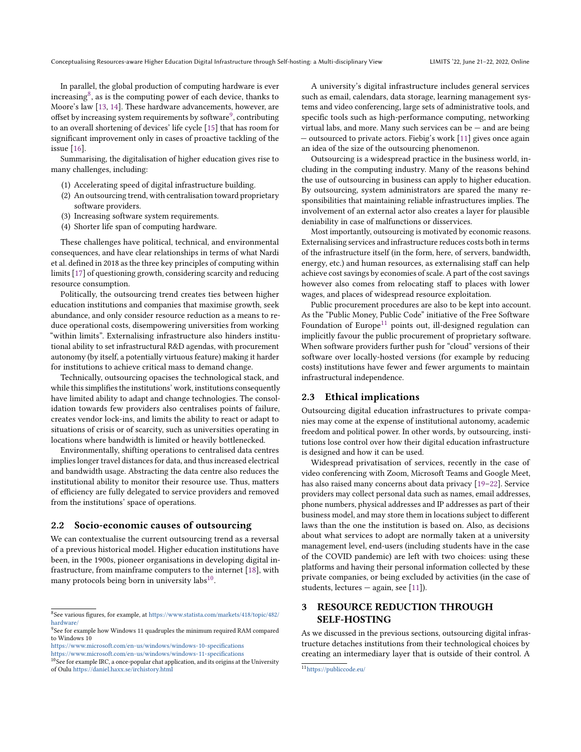In parallel, the global production of computing hardware is ever increasing<sup>[8](#page-2-1)</sup>, as is the computing power of each device, thanks to Moore's law [\[13,](#page-10-11) [14\]](#page-10-12). These hardware advancements, however, are offset by increasing system requirements by software $^9$  $^9$ , contributing to an overall shortening of devices' life cycle [\[15\]](#page-10-13) that has room for significant improvement only in cases of proactive tackling of the issue [\[16\]](#page-10-14).

Summarising, the digitalisation of higher education gives rise to many challenges, including:

- (1) Accelerating speed of digital infrastructure building.
- (2) An outsourcing trend, with centralisation toward proprietary software providers.
- (3) Increasing software system requirements.
- (4) Shorter life span of computing hardware.

These challenges have political, technical, and environmental consequences, and have clear relationships in terms of what Nardi et al. defined in 2018 as the three key principles of computing within limits [\[17\]](#page-10-15) of questioning growth, considering scarcity and reducing resource consumption.

Politically, the outsourcing trend creates ties between higher education institutions and companies that maximise growth, seek abundance, and only consider resource reduction as a means to reduce operational costs, disempowering universities from working "within limits". Externalising infrastructure also hinders institutional ability to set infrastructural R&D agendas, with procurement autonomy (by itself, a potentially virtuous feature) making it harder for institutions to achieve critical mass to demand change.

Technically, outsourcing opacises the technological stack, and while this simplifies the institutions' work, institutions consequently have limited ability to adapt and change technologies. The consolidation towards few providers also centralises points of failure, creates vendor lock-ins, and limits the ability to react or adapt to situations of crisis or of scarcity, such as universities operating in locations where bandwidth is limited or heavily bottlenecked.

Environmentally, shifting operations to centralised data centres implies longer travel distances for data, and thus increased electrical and bandwidth usage. Abstracting the data centre also reduces the institutional ability to monitor their resource use. Thus, matters of efficiency are fully delegated to service providers and removed from the institutions' space of operations.

#### 2.2 Socio-economic causes of outsourcing

We can contextualise the current outsourcing trend as a reversal of a previous historical model. Higher education institutions have been, in the 1900s, pioneer organisations in developing digital infrastructure, from mainframe computers to the internet [\[18\]](#page-10-16), with many protocols being born in university labs $^{10}$  $^{10}$  $^{10}$ .

A university's digital infrastructure includes general services such as email, calendars, data storage, learning management systems and video conferencing, large sets of administrative tools, and specific tools such as high-performance computing, networking virtual labs, and more. Many such services can be — and are being — outsourced to private actors. Fiebig's work [\[11\]](#page-10-9) gives once again an idea of the size of the outsourcing phenomenon.

Outsourcing is a widespread practice in the business world, including in the computing industry. Many of the reasons behind the use of outsourcing in business can apply to higher education. By outsourcing, system administrators are spared the many responsibilities that maintaining reliable infrastructures implies. The involvement of an external actor also creates a layer for plausible deniability in case of malfunctions or disservices.

Most importantly, outsourcing is motivated by economic reasons. Externalising services and infrastructure reduces costs both in terms of the infrastructure itself (in the form, here, of servers, bandwidth, energy, etc.) and human resources, as externalising staff can help achieve cost savings by economies of scale. A part of the cost savings however also comes from relocating staff to places with lower wages, and places of widespread resource exploitation.

Public procurement procedures are also to be kept into account. As the "Public Money, Public Code" initiative of the Free Software Foundation of Europe<sup>[11](#page-2-4)</sup> points out, ill-designed regulation can implicitly favour the public procurement of proprietary software. When software providers further push for "cloud" versions of their software over locally-hosted versions (for example by reducing costs) institutions have fewer and fewer arguments to maintain infrastructural independence.

#### <span id="page-2-5"></span>2.3 Ethical implications

Outsourcing digital education infrastructures to private companies may come at the expense of institutional autonomy, academic freedom and political power. In other words, by outsourcing, institutions lose control over how their digital education infrastructure is designed and how it can be used.

Widespread privatisation of services, recently in the case of video conferencing with Zoom, Microsoft Teams and Google Meet, has also raised many concerns about data privacy [\[19](#page-10-17)[–22\]](#page-10-18). Service providers may collect personal data such as names, email addresses, phone numbers, physical addresses and IP addresses as part of their business model, and may store them in locations subject to different laws than the one the institution is based on. Also, as decisions about what services to adopt are normally taken at a university management level, end-users (including students have in the case of the COVID pandemic) are left with two choices: using these platforms and having their personal information collected by these private companies, or being excluded by activities (in the case of students, lectures — again, see [\[11\]](#page-10-9)).

# <span id="page-2-0"></span>3 RESOURCE REDUCTION THROUGH SELF-HOSTING

As we discussed in the previous sections, outsourcing digital infrastructure detaches institutions from their technological choices by creating an intermediary layer that is outside of their control. A

<span id="page-2-1"></span><sup>8</sup> See various figures, for example, at [https://www.statista.com/markets/418/topic/482/](https://www.statista.com/markets/418/topic/482/hardware/) [hardware/](https://www.statista.com/markets/418/topic/482/hardware/)

<span id="page-2-2"></span><sup>&</sup>lt;sup>9</sup>See for example how Windows 11 quadruples the minimum required RAM compared to Windows 10

<https://www.microsoft.com/en-us/windows/windows-10-specifications>

<https://www.microsoft.com/en-us/windows/windows-11-specifications>

<span id="page-2-3"></span><sup>&</sup>lt;sup>10</sup>See for example IRC, a once-popular chat application, and its origins at the University of Oulu <https://daniel.haxx.se/irchistory.html>

<span id="page-2-4"></span><sup>11</sup><https://publiccode.eu/>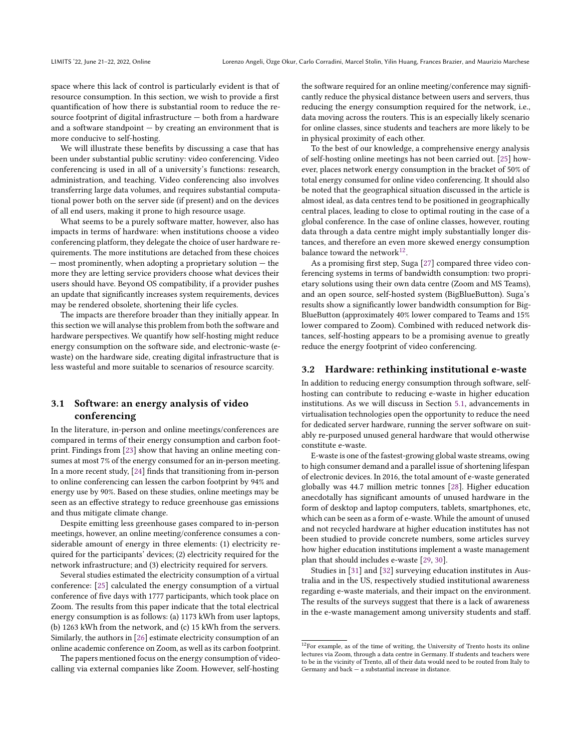space where this lack of control is particularly evident is that of resource consumption. In this section, we wish to provide a first quantification of how there is substantial room to reduce the resource footprint of digital infrastructure — both from a hardware and a software standpoint  $-$  by creating an environment that is more conducive to self-hosting.

We will illustrate these benefits by discussing a case that has been under substantial public scrutiny: video conferencing. Video conferencing is used in all of a university's functions: research, administration, and teaching. Video conferencing also involves transferring large data volumes, and requires substantial computational power both on the server side (if present) and on the devices of all end users, making it prone to high resource usage.

What seems to be a purely software matter, however, also has impacts in terms of hardware: when institutions choose a video conferencing platform, they delegate the choice of user hardware requirements. The more institutions are detached from these choices — most prominently, when adopting a proprietary solution — the more they are letting service providers choose what devices their users should have. Beyond OS compatibility, if a provider pushes an update that significantly increases system requirements, devices may be rendered obsolete, shortening their life cycles.

The impacts are therefore broader than they initially appear. In this section we will analyse this problem from both the software and hardware perspectives. We quantify how self-hosting might reduce energy consumption on the software side, and electronic-waste (ewaste) on the hardware side, creating digital infrastructure that is less wasteful and more suitable to scenarios of resource scarcity.

## 3.1 Software: an energy analysis of video conferencing

In the literature, in-person and online meetings/conferences are compared in terms of their energy consumption and carbon footprint. Findings from [\[23\]](#page-10-19) show that having an online meeting consumes at most 7% of the energy consumed for an in-person meeting. In a more recent study, [\[24\]](#page-10-20) finds that transitioning from in-person to online conferencing can lessen the carbon footprint by 94% and energy use by 90%. Based on these studies, online meetings may be seen as an effective strategy to reduce greenhouse gas emissions and thus mitigate climate change.

Despite emitting less greenhouse gases compared to in-person meetings, however, an online meeting/conference consumes a considerable amount of energy in three elements: (1) electricity required for the participants' devices; (2) electricity required for the network infrastructure; and (3) electricity required for servers.

Several studies estimated the electricity consumption of a virtual conference: [\[25\]](#page-10-21) calculated the energy consumption of a virtual conference of five days with 1777 participants, which took place on Zoom. The results from this paper indicate that the total electrical energy consumption is as follows: (a) 1173 kWh from user laptops, (b) 1263 kWh from the network, and (c) 15 kWh from the servers. Similarly, the authors in [\[26\]](#page-10-22) estimate electricity consumption of an online academic conference on Zoom, as well as its carbon footprint.

The papers mentioned focus on the energy consumption of videocalling via external companies like Zoom. However, self-hosting the software required for an online meeting/conference may significantly reduce the physical distance between users and servers, thus reducing the energy consumption required for the network, i.e., data moving across the routers. This is an especially likely scenario for online classes, since students and teachers are more likely to be in physical proximity of each other.

To the best of our knowledge, a comprehensive energy analysis of self-hosting online meetings has not been carried out. [\[25\]](#page-10-21) however, places network energy consumption in the bracket of 50% of total energy consumed for online video conferencing. It should also be noted that the geographical situation discussed in the article is almost ideal, as data centres tend to be positioned in geographically central places, leading to close to optimal routing in the case of a global conference. In the case of online classes, however, routing data through a data centre might imply substantially longer distances, and therefore an even more skewed energy consumption balance toward the network $^{12}$  $^{12}$  $^{12}$ .

As a promising first step, Suga [\[27\]](#page-10-23) compared three video conferencing systems in terms of bandwidth consumption: two proprietary solutions using their own data centre (Zoom and MS Teams), and an open source, self-hosted system (BigBlueButton). Suga's results show a significantly lower bandwidth consumption for Big-BlueButton (approximately 40% lower compared to Teams and 15% lower compared to Zoom). Combined with reduced network distances, self-hosting appears to be a promising avenue to greatly reduce the energy footprint of video conferencing.

#### 3.2 Hardware: rethinking institutional e-waste

In addition to reducing energy consumption through software, selfhosting can contribute to reducing e-waste in higher education institutions. As we will discuss in Section [5.1,](#page-5-0) advancements in virtualisation technologies open the opportunity to reduce the need for dedicated server hardware, running the server software on suitably re-purposed unused general hardware that would otherwise constitute e-waste.

E-waste is one of the fastest-growing global waste streams, owing to high consumer demand and a parallel issue of shortening lifespan of electronic devices. In 2016, the total amount of e-waste generated globally was 44.7 million metric tonnes [\[28\]](#page-10-24). Higher education anecdotally has significant amounts of unused hardware in the form of desktop and laptop computers, tablets, smartphones, etc, which can be seen as a form of e-waste. While the amount of unused and not recycled hardware at higher education institutes has not been studied to provide concrete numbers, some articles survey how higher education institutions implement a waste management plan that should includes e-waste [\[29,](#page-10-25) [30\]](#page-10-26).

Studies in [\[31\]](#page-10-27) and [\[32\]](#page-10-28) surveying education institutes in Australia and in the US, respectively studied institutional awareness regarding e-waste materials, and their impact on the environment. The results of the surveys suggest that there is a lack of awareness in the e-waste management among university students and staff.

<span id="page-3-0"></span> $12$ For example, as of the time of writing, the University of Trento hosts its online lectures via Zoom, through a data centre in Germany. If students and teachers were to be in the vicinity of Trento, all of their data would need to be routed from Italy to Germany and back — a substantial increase in distance.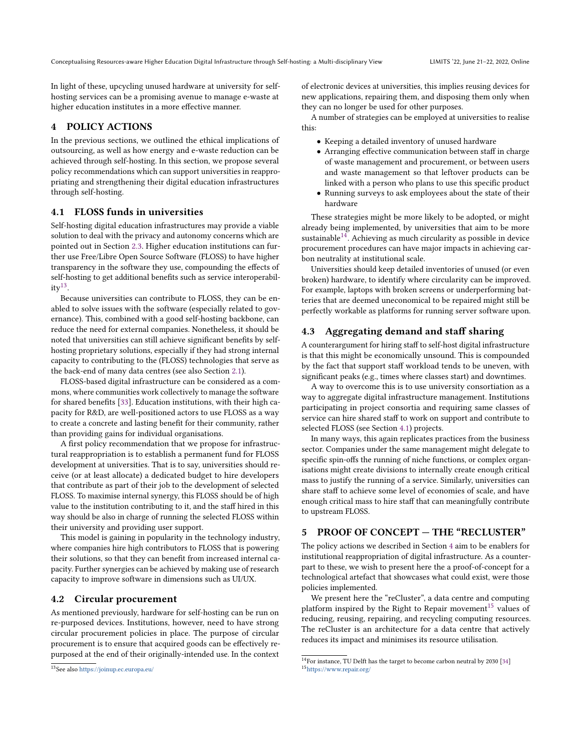In light of these, upcycling unused hardware at university for selfhosting services can be a promising avenue to manage e-waste at higher education institutes in a more effective manner.

# <span id="page-4-0"></span>4 POLICY ACTIONS

In the previous sections, we outlined the ethical implications of outsourcing, as well as how energy and e-waste reduction can be achieved through self-hosting. In this section, we propose several policy recommendations which can support universities in reappropriating and strengthening their digital education infrastructures through self-hosting.

## <span id="page-4-4"></span>4.1 FLOSS funds in universities

Self-hosting digital education infrastructures may provide a viable solution to deal with the privacy and autonomy concerns which are pointed out in Section [2.3.](#page-2-5) Higher education institutions can further use Free/Libre Open Source Software (FLOSS) to have higher transparency in the software they use, compounding the effects of self-hosting to get additional benefits such as service interoperabil- $ity^{13}$  $ity^{13}$  $ity^{13}$ .

Because universities can contribute to FLOSS, they can be enabled to solve issues with the software (especially related to governance). This, combined with a good self-hosting backbone, can reduce the need for external companies. Nonetheless, it should be noted that universities can still achieve significant benefits by selfhosting proprietary solutions, especially if they had strong internal capacity to contributing to the (FLOSS) technologies that serve as the back-end of many data centres (see also Section [2.1\)](#page-1-7).

FLOSS-based digital infrastructure can be considered as a commons, where communities work collectively to manage the software for shared benefits [\[33\]](#page-10-29). Education institutions, with their high capacity for R&D, are well-positioned actors to use FLOSS as a way to create a concrete and lasting benefit for their community, rather than providing gains for individual organisations.

A first policy recommendation that we propose for infrastructural reappropriation is to establish a permanent fund for FLOSS development at universities. That is to say, universities should receive (or at least allocate) a dedicated budget to hire developers that contribute as part of their job to the development of selected FLOSS. To maximise internal synergy, this FLOSS should be of high value to the institution contributing to it, and the staff hired in this way should be also in charge of running the selected FLOSS within their university and providing user support.

This model is gaining in popularity in the technology industry, where companies hire high contributors to FLOSS that is powering their solutions, so that they can benefit from increased internal capacity. Further synergies can be achieved by making use of research capacity to improve software in dimensions such as UI/UX.

## 4.2 Circular procurement

As mentioned previously, hardware for self-hosting can be run on re-purposed devices. Institutions, however, need to have strong circular procurement policies in place. The purpose of circular procurement is to ensure that acquired goods can be effectively repurposed at the end of their originally-intended use. In the context

of electronic devices at universities, this implies reusing devices for new applications, repairing them, and disposing them only when they can no longer be used for other purposes.

A number of strategies can be employed at universities to realise this:

- Keeping a detailed inventory of unused hardware
- Arranging effective communication between staff in charge of waste management and procurement, or between users and waste management so that leftover products can be linked with a person who plans to use this specific product
- Running surveys to ask employees about the state of their hardware

These strategies might be more likely to be adopted, or might already being implemented, by universities that aim to be more sustainable<sup>[14](#page-4-3)</sup>. Achieving as much circularity as possible in device procurement procedures can have major impacts in achieving carbon neutrality at institutional scale.

Universities should keep detailed inventories of unused (or even broken) hardware, to identify where circularity can be improved. For example, laptops with broken screens or underperforming batteries that are deemed uneconomical to be repaired might still be perfectly workable as platforms for running server software upon.

## 4.3 Aggregating demand and staff sharing

A counterargument for hiring staff to self-host digital infrastructure is that this might be economically unsound. This is compounded by the fact that support staff workload tends to be uneven, with significant peaks (e.g., times where classes start) and downtimes.

A way to overcome this is to use university consortiation as a way to aggregate digital infrastructure management. Institutions participating in project consortia and requiring same classes of service can hire shared staff to work on support and contribute to selected FLOSS (see Section [4.1\)](#page-4-4) projects.

In many ways, this again replicates practices from the business sector. Companies under the same management might delegate to specific spin-offs the running of niche functions, or complex organisations might create divisions to internally create enough critical mass to justify the running of a service. Similarly, universities can share staff to achieve some level of economies of scale, and have enough critical mass to hire staff that can meaningfully contribute to upstream FLOSS.

# <span id="page-4-1"></span>5 PROOF OF CONCEPT — THE "RECLUSTER"

The policy actions we described in Section [4](#page-4-0) aim to be enablers for institutional reappropriation of digital infrastructure. As a counterpart to these, we wish to present here the a proof-of-concept for a technological artefact that showcases what could exist, were those policies implemented.

We present here the "reCluster", a data centre and computing platform inspired by the Right to Repair movement<sup>[15](#page-4-5)</sup> values of reducing, reusing, repairing, and recycling computing resources. The reCluster is an architecture for a data centre that actively reduces its impact and minimises its resource utilisation.

<span id="page-4-2"></span><sup>13</sup>See also <https://joinup.ec.europa.eu/>

<span id="page-4-5"></span><span id="page-4-3"></span> $\overline{^{14}}$  For instance, TU Delft has the target to become carbon neutral by 2030 [\[34\]](#page-10-30) <sup>15</sup><https://www.repair.org/>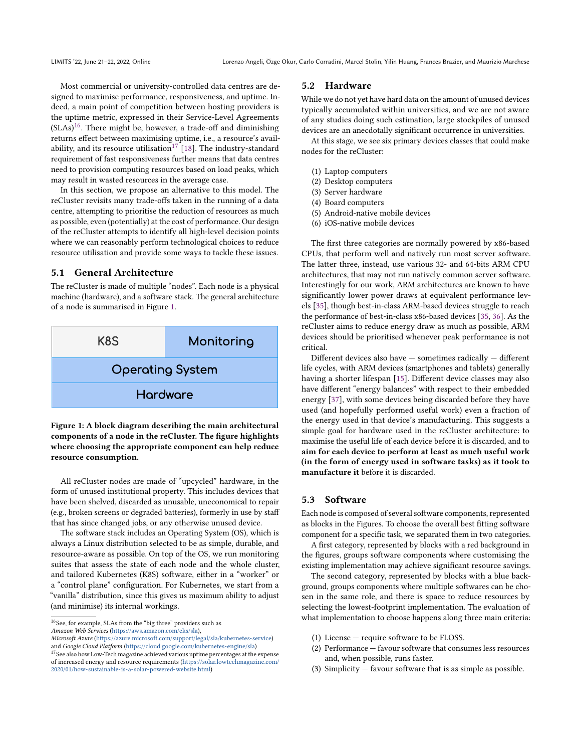Most commercial or university-controlled data centres are designed to maximise performance, responsiveness, and uptime. Indeed, a main point of competition between hosting providers is the uptime metric, expressed in their Service-Level Agreements  $(SLAS)^{16}$  $(SLAS)^{16}$  $(SLAS)^{16}$ . There might be, however, a trade-off and diminishing returns effect between maximising uptime, i.e., a resource's avail-ability, and its resource utilisation<sup>[17](#page-5-2)</sup> [\[18\]](#page-10-16). The industry-standard requirement of fast responsiveness further means that data centres need to provision computing resources based on load peaks, which may result in wasted resources in the average case.

In this section, we propose an alternative to this model. The reCluster revisits many trade-offs taken in the running of a data centre, attempting to prioritise the reduction of resources as much as possible, even (potentially) at the cost of performance. Our design of the reCluster attempts to identify all high-level decision points where we can reasonably perform technological choices to reduce resource utilisation and provide some ways to tackle these issues.

#### <span id="page-5-0"></span>5.1 General Architecture

The reCluster is made of multiple "nodes". Each node is a physical machine (hardware), and a software stack. The general architecture of a node is summarised in Figure [1.](#page-5-3)

<span id="page-5-3"></span>

Figure 1: A block diagram describing the main architectural components of a node in the reCluster. The figure highlights where choosing the appropriate component can help reduce resource consumption.

All reCluster nodes are made of "upcycled" hardware, in the form of unused institutional property. This includes devices that have been shelved, discarded as unusable, uneconomical to repair (e.g., broken screens or degraded batteries), formerly in use by staff that has since changed jobs, or any otherwise unused device.

The software stack includes an Operating System (OS), which is always a Linux distribution selected to be as simple, durable, and resource-aware as possible. On top of the OS, we run monitoring suites that assess the state of each node and the whole cluster, and tailored Kubernetes (K8S) software, either in a "worker" or a "control plane" configuration. For Kubernetes, we start from a "vanilla" distribution, since this gives us maximum ability to adjust (and minimise) its internal workings.

#### 5.2 Hardware

While we do not yet have hard data on the amount of unused devices typically accumulated within universities, and we are not aware of any studies doing such estimation, large stockpiles of unused devices are an anecdotally significant occurrence in universities.

At this stage, we see six primary devices classes that could make nodes for the reCluster:

- (1) Laptop computers
- (2) Desktop computers
- (3) Server hardware
- (4) Board computers
- (5) Android-native mobile devices
- (6) iOS-native mobile devices

The first three categories are normally powered by x86-based CPUs, that perform well and natively run most server software. The latter three, instead, use various 32- and 64-bits ARM CPU architectures, that may not run natively common server software. Interestingly for our work, ARM architectures are known to have significantly lower power draws at equivalent performance levels [\[35\]](#page-10-31), though best-in-class ARM-based devices struggle to reach the performance of best-in-class x86-based devices [\[35,](#page-10-31) [36\]](#page-10-32). As the reCluster aims to reduce energy draw as much as possible, ARM devices should be prioritised whenever peak performance is not critical.

Different devices also have — sometimes radically — different life cycles, with ARM devices (smartphones and tablets) generally having a shorter lifespan [\[15\]](#page-10-13). Different device classes may also have different "energy balances" with respect to their embedded energy [\[37\]](#page-10-33), with some devices being discarded before they have used (and hopefully performed useful work) even a fraction of the energy used in that device's manufacturing. This suggests a simple goal for hardware used in the reCluster architecture: to maximise the useful life of each device before it is discarded, and to aim for each device to perform at least as much useful work (in the form of energy used in software tasks) as it took to manufacture it before it is discarded.

## 5.3 Software

Each node is composed of several software components, represented as blocks in the Figures. To choose the overall best fitting software component for a specific task, we separated them in two categories.

A first category, represented by blocks with a red background in the figures, groups software components where customising the existing implementation may achieve significant resource savings.

The second category, represented by blocks with a blue background, groups components where multiple softwares can be chosen in the same role, and there is space to reduce resources by selecting the lowest-footprint implementation. The evaluation of what implementation to choose happens along three main criteria:

- (1) License require software to be FLOSS.
- (2) Performance favour software that consumes less resources and, when possible, runs faster.
- (3) Simplicity favour software that is as simple as possible.

<span id="page-5-1"></span> $^{16}\mathrm{See},$  for example, SLAs from the "big three" providers such as

Amazon Web Services [\(https://aws.amazon.com/eks/sla\)](https://aws.amazon.com/eks/sla),

Microsoft Azure [\(https://azure.microsoft.com/support/legal/sla/kubernetes-service\)](https://azure.microsoft.com/support/legal/sla/kubernetes-service) and Google Cloud Platform [\(https://cloud.google.com/kubernetes-engine/sla\)](https://cloud.google.com/kubernetes-engine/sla)

<span id="page-5-2"></span><sup>&</sup>lt;sup>17</sup> See also how Low-Tech magazine achieved various uptime percentages at the expense of increased energy and resource requirements [\(https://solar.lowtechmagazine.com/](https://solar.lowtechmagazine.com/2020/01/how-sustainable-is-a-solar-powered-website.html) [2020/01/how-sustainable-is-a-solar-powered-website.html\)](https://solar.lowtechmagazine.com/2020/01/how-sustainable-is-a-solar-powered-website.html)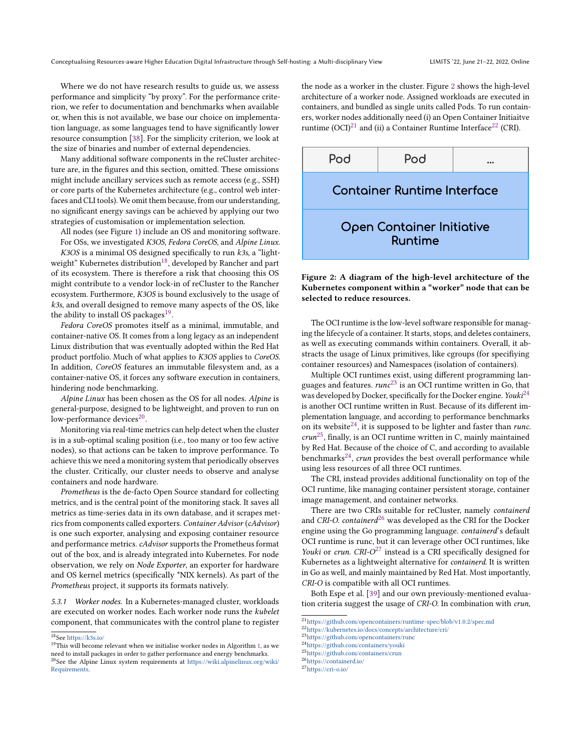Where we do not have research results to guide us, we assess performance and simplicity "by proxy". For the performance criterion, we refer to documentation and benchmarks when available or, when this is not available, we base our choice on implementation language, as some languages tend to have significantly lower resource consumption [\[38\]](#page-10-34). For the simplicity criterion, we look at the size of binaries and number of external dependencies.

Many additional software components in the reCluster architecture are, in the figures and this section, omitted. These omissions might include ancillary services such as remote access (e.g., SSH) or core parts of the Kubernetes architecture (e.g., control web interfaces and CLI tools). We omit them because, from our understanding, no significant energy savings can be achieved by applying our two strategies of customisation or implementation selection.

All nodes (see Figure [1\)](#page-5-3) include an OS and monitoring software. For OSs, we investigated K3OS, Fedora CoreOS, and Alpine Linux.

 $K3OS$  is a minimal OS designed specifically to run  $k3s$ , a "light-weight" Kubernetes distribution<sup>[18](#page-6-0)</sup>, developed by Rancher and part of its ecosystem. There is therefore a risk that choosing this OS might contribute to a vendor lock-in of reCluster to the Rancher ecosystem. Furthermore, K3OS is bound exclusively to the usage of k3s, and overall designed to remove many aspects of the OS, like the ability to install OS packages $^{19}$  $^{19}$  $^{19}$ .

Fedora CoreOS promotes itself as a minimal, immutable, and container-native OS. It comes from a long legacy as an independent Linux distribution that was eventually adopted within the Red Hat product portfolio. Much of what applies to K3OS applies to CoreOS. In addition, CoreOS features an immutable filesystem and, as a container-native OS, it forces any software execution in containers, hindering node benchmarking.

Alpine Linux has been chosen as the OS for all nodes. Alpine is general-purpose, designed to be lightweight, and proven to run on low-performance devices<sup>[20](#page-6-2)</sup>.

Monitoring via real-time metrics can help detect when the cluster is in a sub-optimal scaling position (i.e., too many or too few active nodes), so that actions can be taken to improve performance. To achieve this we need a monitoring system that periodically observes the cluster. Critically, our cluster needs to observe and analyse containers and node hardware.

Prometheus is the de-facto Open Source standard for collecting metrics, and is the central point of the monitoring stack. It saves all metrics as time-series data in its own database, and it scrapes metrics from components called exporters. Container Advisor (cAdvisor) is one such exporter, analysing and exposing container resource and performance metrics. cAdvisor supports the Prometheus format out of the box, and is already integrated into Kubernetes. For node observation, we rely on Node Exporter, an exporter for hardware and OS kernel metrics (specifically \*NIX kernels). As part of the Prometheus project, it supports its formats natively.

5.3.1 Worker nodes. In a Kubernetes-managed cluster, workloads are executed on worker nodes. Each worker node runs the kubelet component, that communicates with the control plane to register the node as a worker in the cluster. Figure [2](#page-6-3) shows the high-level architecture of a worker node. Assigned workloads are executed in containers, and bundled as single units called Pods. To run containers, worker nodes additionally need (i) an Open Container Initiaitve runtime  $(OCI)^{21}$  $(OCI)^{21}$  $(OCI)^{21}$  and (ii) a Container Runtime Interface<sup>[22](#page-6-5)</sup> (CRI).

<span id="page-6-3"></span>

Figure 2: A diagram of the high-level architecture of the Kubernetes component within a "worker" node that can be selected to reduce resources.

The OCI runtime is the low-level software responsible for managing the lifecycle of a container. It starts, stops, and deletes containers, as well as executing commands within containers. Overall, it abstracts the usage of Linux primitives, like cgroups (for specifiying container resources) and Namespaces (isolation of containers).

Multiple OCI runtimes exist, using different programming languages and features.  $runc^{23}$  $runc^{23}$  $runc^{23}$  is an OCI runtime written in Go, that was developed by Docker, specifically for the Docker engine. Youki $^{24}$  $^{24}$  $^{24}$ is another OCI runtime written in Rust. Because of its different implementation language, and according to performance benchmarks on its website<sup>[24](#page-6-7)</sup>, it is supposed to be lighter and faster than *runc*.  $crun^{25}$  $crun^{25}$  $crun^{25}$ , finally, is an OCI runtime written in C, mainly maintained by Red Hat. Because of the choice of C, and according to available benchmarks<sup>[24](#page-6-7)</sup>, crun provides the best overall performance while using less resources of all three OCI runtimes.

The CRI, instead provides additional functionality on top of the OCI runtime, like managing container persistent storage, container image management, and container networks.

There are two CRIs suitable for reCluster, namely containerd and CRI-O. containerd<sup>[26](#page-6-9)</sup> was developed as the CRI for the Docker engine using the Go programming language. containerd's default OCI runtime is runc, but it can leverage other OCI runtimes, like Youki or crun.  $CRI-O^{27}$  $CRI-O^{27}$  $CRI-O^{27}$  instead is a CRI specifically designed for Kubernetes as a lightweight alternative for *containerd*. It is written in Go as well, and mainly maintained by Red Hat. Most importantly, CRI-O is compatible with all OCI runtimes.

Both Espe et al. [\[39\]](#page-10-35) and our own previously-mentioned evaluation criteria suggest the usage of CRI-O. In combination with crun,

<span id="page-6-6"></span><sup>23</sup><https://github.com/opencontainers/runc>

<span id="page-6-0"></span><sup>18</sup>See <https://k3s.io/>

<span id="page-6-2"></span><span id="page-6-1"></span> $19$ This will become relevant when we initialise worker nodes in Algorithm [1,](#page-7-0) as we need to install packages in order to gather performance and energy benchmarks. <sup>20</sup>See the Alpine Linux system requirements at [https://wiki.alpinelinux.org/wiki/](https://wiki.alpinelinux.org/wiki/Requirements) [Requirements.](https://wiki.alpinelinux.org/wiki/Requirements)

<span id="page-6-4"></span><sup>21</sup><https://github.com/opencontainers/runtime-spec/blob/v1.0.2/spec.md>

<span id="page-6-5"></span><sup>22</sup><https://kubernetes.io/docs/concepts/architecture/cri/>

<span id="page-6-8"></span><span id="page-6-7"></span><sup>24</sup><https://github.com/containers/youki>

<sup>25</sup><https://github.com/containers/crun>

<span id="page-6-9"></span><sup>26</sup><https://containerd.io/>

<span id="page-6-10"></span><sup>27</sup><https://cri-o.io/>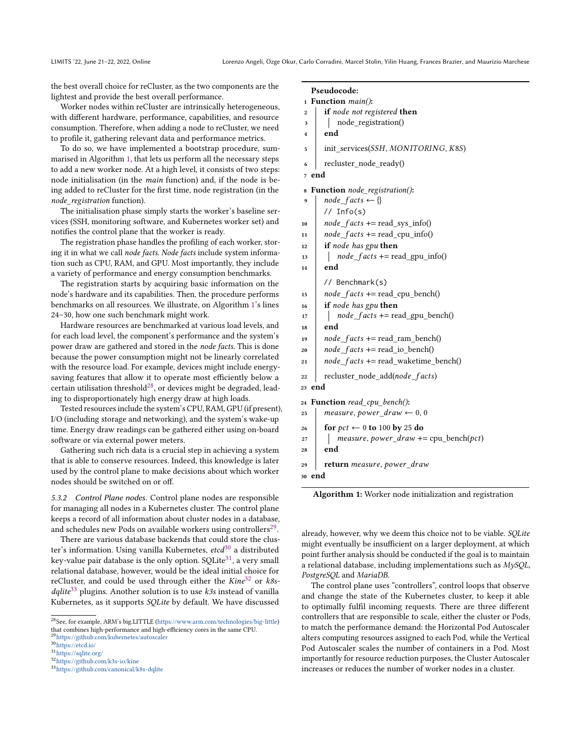the best overall choice for reCluster, as the two components are the lightest and provide the best overall performance.

Worker nodes within reCluster are intrinsically heterogeneous, with different hardware, performance, capabilities, and resource consumption. Therefore, when adding a node to reCluster, we need to profile it, gathering relevant data and performance metrics.

To do so, we have implemented a bootstrap procedure, summarised in Algorithm [1,](#page-7-0) that lets us perform all the necessary steps to add a new worker node. At a high level, it consists of two steps: node initialisation (in the main function) and, if the node is being added to reCluster for the first time, node registration (in the node registration function).

The initialisation phase simply starts the worker's baseline services (SSH, monitoring software, and Kubernetes worker set) and notifies the control plane that the worker is ready.

The registration phase handles the profiling of each worker, storing it in what we call node facts. Node facts include system information such as CPU, RAM, and GPU. Most importantly, they include a variety of performance and energy consumption benchmarks.

The registration starts by acquiring basic information on the node's hardware and its capabilities. Then, the procedure performs benchmarks on all resources. We illustrate, on Algorithm [1'](#page-7-0)s lines 24–30, how one such benchmark might work.

Hardware resources are benchmarked at various load levels, and for each load level, the component's performance and the system's power draw are gathered and stored in the node facts. This is done because the power consumption might not be linearly correlated with the resource load. For example, devices might include energysaving features that allow it to operate most efficiently below a certain utilisation threshold<sup>[28](#page-7-1)</sup>, or devices might be degraded, leading to disproportionately high energy draw at high loads.

Tested resources include the system's CPU, RAM, GPU (if present), I/O (including storage and networking), and the system's wake-up time. Energy draw readings can be gathered either using on-board software or via external power meters.

Gathering such rich data is a crucial step in achieving a system that is able to conserve resources. Indeed, this knowledge is later used by the control plane to make decisions about which worker nodes should be switched on or off.

5.3.2 Control Plane nodes. Control plane nodes are responsible for managing all nodes in a Kubernetes cluster. The control plane keeps a record of all information about cluster nodes in a database, and schedules new Pods on available workers using controllers $^{29}$  $^{29}$  $^{29}$ .

There are various database backends that could store the cluster's information. Using vanilla Kubernetes,  $etcd^{30}$  $etcd^{30}$  $etcd^{30}$  a distributed key-value pair database is the only option. SQLite<sup>[31](#page-7-4)</sup>, a very small relational database, however, would be the ideal initial choice for reCluster, and could be used through either the  $Kine^{32}$  $Kine^{32}$  $Kine^{32}$  or  $ks$  $dq$ lite<sup>[33](#page-7-6)</sup> plugins. Another solution is to use k3s instead of vanilla Kubernetes, as it supports SQLite by default. We have discussed

```
29https://github.com/kubernetes/autoscaler
30https://etcd.io/
```

```
31https://sqlite.org/
```

```
32https://github.com/k3s-io/kine
```

```
33https://github.com/canonical/k8s-dqlite
```
# <span id="page-7-0"></span>Pseudocode:

```
1 Function main():
```
- $2 \mid$  if node not registered then
- <sup>3</sup> node\_registration()

```
4 \mid end
```
 $\frac{1}{5}$  init\_services(*SSH*, *MONITORING*, *K8S*)

 $6 \mid$  recluster node ready()

```
7 end
```

```
8 Function node_registration():
```

```
node facts \leftarrow \{\}// Info(s)
```
- 10 | *node*  $facts += read$  sys info()
- $11$   $node_facts += read_cpu_info()$
- $12$  if node has gpu then
- $13$  |  $node_facts += read\_gpu_info()$

 $14$  end

- // Benchmark(s)  $15$  |  $node_facts += read_cpu_bench()$
- $_{16}$  if node has gpu then
- $17$  |  $node_facts += read\_gpu_bench()$
- $18$  end
- 19 | *node*  $facts += read ram bench()$
- 20  $\vert$  *node\_facts* += read\_io\_bench()
- 21  $\vert$  node\_facts += read\_waketime\_bench()
- $22$  recluster\_node\_add( $node_f acts$ )
- <sup>23</sup> end

#### <sup>24</sup> Function read\_cpu\_bench():

```
25 measure, power_draw \leftarrow 0, 0
```
- 26 for  $pct \leftarrow 0$  to 100 by 25 do
- 27  $\parallel$  measure, power\_draw += cpu\_bench(pct)
- $28$  end

```
29 return measure, power_draw
```
<sup>30</sup> end

Algorithm 1: Worker node initialization and registration

already, however, why we deem this choice not to be viable. SQLite might eventually be insufficient on a larger deployment, at which point further analysis should be conducted if the goal is to maintain a relational database, including implementations such as MySQL, PostgreSQL and MariaDB.

The control plane uses "controllers", control loops that observe and change the state of the Kubernetes cluster, to keep it able to optimally fulfil incoming requests. There are three different controllers that are responsible to scale, either the cluster or Pods, to match the performance demand: the Horizontal Pod Autoscaler alters computing resources assigned to each Pod, while the Vertical Pod Autoscaler scales the number of containers in a Pod. Most importantly for resource reduction purposes, the Cluster Autoscaler increases or reduces the number of worker nodes in a cluster.

<span id="page-7-1"></span><sup>28</sup>See, for example, ARM's big.LITTLE [\(https://www.arm.com/technologies/big-little\)](https://www.arm.com/technologies/big-little) that combines high-performance and high-efficiency cores in the same CPU.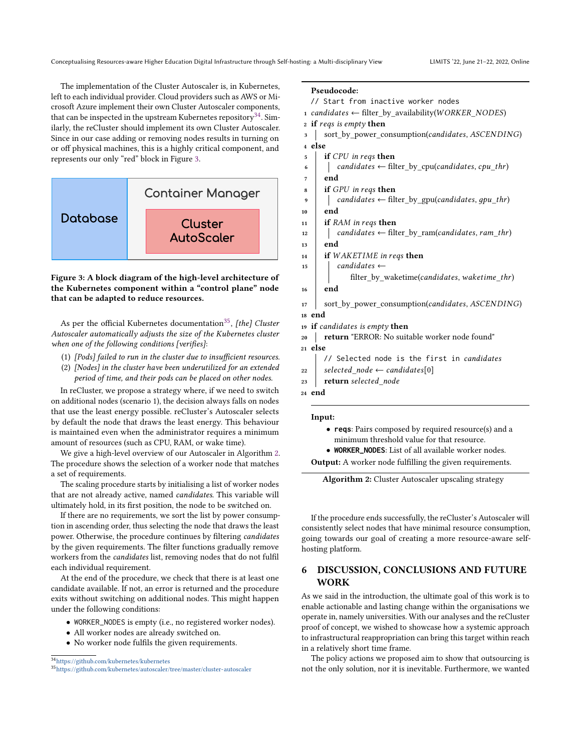The implementation of the Cluster Autoscaler is, in Kubernetes, left to each individual provider. Cloud providers such as AWS or Microsoft Azure implement their own Cluster Autoscaler components, that can be inspected in the upstream Kubernetes repository<sup>[34](#page-8-1)</sup>. Similarly, the reCluster should implement its own Cluster Autoscaler. Since in our case adding or removing nodes results in turning on or off physical machines, this is a highly critical component, and represents our only "red" block in Figure [3.](#page-8-2)

<span id="page-8-2"></span>

Figure 3: A block diagram of the high-level architecture of the Kubernetes component within a "control plane" node that can be adapted to reduce resources.

As per the official Kubernetes documentation<sup>[35](#page-8-3)</sup>, *[the] Cluster* Autoscaler automatically adjusts the size of the Kubernetes cluster when one of the following conditions [verifies]:

- (1) [Pods] failed to run in the cluster due to insufficient resources.
- (2) [Nodes] in the cluster have been underutilized for an extended period of time, and their pods can be placed on other nodes.

In reCluster, we propose a strategy where, if we need to switch on additional nodes (scenario 1), the decision always falls on nodes that use the least energy possible. reCluster's Autoscaler selects by default the node that draws the least energy. This behaviour is maintained even when the administrator requires a minimum amount of resources (such as CPU, RAM, or wake time).

We give a high-level overview of our Autoscaler in Algorithm [2.](#page-8-4) The procedure shows the selection of a worker node that matches a set of requirements.

The scaling procedure starts by initialising a list of worker nodes that are not already active, named candidates. This variable will ultimately hold, in its first position, the node to be switched on.

If there are no requirements, we sort the list by power consumption in ascending order, thus selecting the node that draws the least power. Otherwise, the procedure continues by filtering candidates by the given requirements. The filter functions gradually remove workers from the candidates list, removing nodes that do not fulfil each individual requirement.

At the end of the procedure, we check that there is at least one candidate available. If not, an error is returned and the procedure exits without switching on additional nodes. This might happen under the following conditions:

- WORKER\_NODES is empty (i.e., no registered worker nodes).
- All worker nodes are already switched on.
- No worker node fulfils the given requirements.

```
34https://github.com/kubernetes/kubernetes
```
## <span id="page-8-4"></span>Pseudocode:

// Start from inactive worker nodes

- 1 candidates  $\leftarrow$  filter by availability(WORKER NODES)
- 2 if reqs is empty then
- 3 | sort\_by\_power\_consumption(candidates, ASCENDING)
- <sup>4</sup> else
- $\frac{1}{5}$  if *CPU* in regs then
- 6  $\vert$   $\vert$  candidates  $\leftarrow$  filter\_by\_cpu(candidates, cpu\_thr)
- $7$  end
- $\mathbf{s}$  | if GPU in reqs then
- candidates  $\leftarrow$  filter\_by\_gpu(candidates, qpu\_thr)
- $10$  end
- 11 **if**  $RAM$  in regs then
- $12$  | candidates  $\leftarrow$  filter\_by\_ram(candidates, ram\_thr)
- 13 end
- $14$  if WAKETIME in regs then
- $\begin{array}{c|c} \n\text{15} & \text{16} \\ \n\end{array}$  candidates  $\leftarrow$ filter\_by\_waketime(candidates, waketime\_thr)
- <sup>16</sup> end
- $17$  sort\_by\_power\_consumption(*candidates*,  $ASCENDING$ )
- <sup>18</sup> end
- $19$  if candidates is empty then
- 20 **return** "ERROR: No suitable worker node found" <sup>21</sup> else
- // Selected node is the first in *candidates*
- 22 | selected node  $\leftarrow$  candidates[0]
- $23$  return selected node
- <sup>24</sup> end

#### Input:

- **reqs**: Pairs composed by required resource(s) and a minimum threshold value for that resource.
- **WORKER\_NODES**: List of all available worker nodes.

Output: A worker node fulfilling the given requirements.

```
Algorithm 2: Cluster Autoscaler upscaling strategy
```
If the procedure ends successfully, the reCluster's Autoscaler will consistently select nodes that have minimal resource consumption, going towards our goal of creating a more resource-aware selfhosting platform.

# <span id="page-8-0"></span>6 DISCUSSION, CONCLUSIONS AND FUTURE WORK

As we said in the introduction, the ultimate goal of this work is to enable actionable and lasting change within the organisations we operate in, namely universities. With our analyses and the reCluster proof of concept, we wished to showcase how a systemic approach to infrastructural reappropriation can bring this target within reach in a relatively short time frame.

The policy actions we proposed aim to show that outsourcing is not the only solution, nor it is inevitable. Furthermore, we wanted

<span id="page-8-3"></span><sup>35</sup><https://github.com/kubernetes/autoscaler/tree/master/cluster-autoscaler>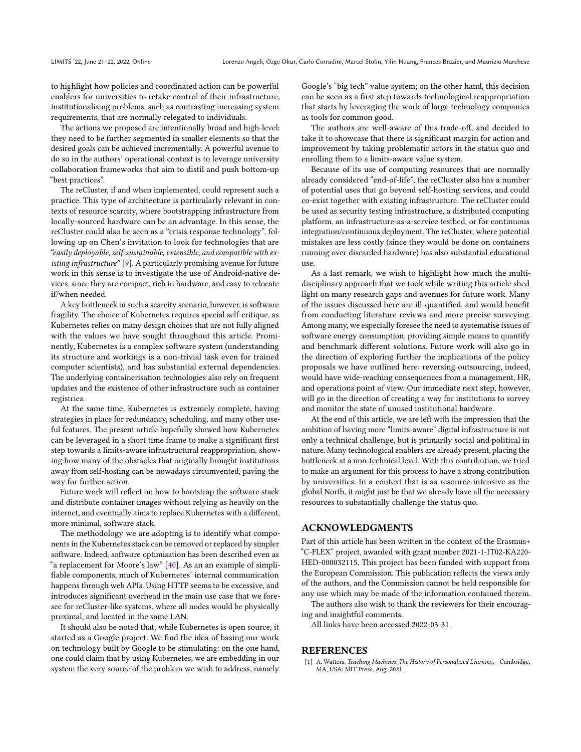to highlight how policies and coordinated action can be powerful enablers for universities to retake control of their infrastructure, institutionalising problems, such as contrasting increasing system requirements, that are normally relegated to individuals.

The actions we proposed are intentionally broad and high-level: they need to be further segmented in smaller elements so that the desired goals can be achieved incrementally. A powerful avenue to do so in the authors' operational context is to leverage university collaboration frameworks that aim to distil and push bottom-up "best practices".

The reCluster, if and when implemented, could represent such a practice. This type of architecture is particularly relevant in contexts of resource scarcity, where bootstrapping infrastructure from locally-sourced hardware can be an advantage. In this sense, the reCluster could also be seen as a "crisis response technology", following up on Chen's invitation to look for technologies that are "easily deployable, self-sustainable, extensible, and compatible with existing infrastructure" [\[9\]](#page-10-7). A particularly promising avenue for future work in this sense is to investigate the use of Android-native devices, since they are compact, rich in hardware, and easy to relocate if/when needed.

A key bottleneck in such a scarcity scenario, however, is software fragility. The choice of Kubernetes requires special self-critique, as Kubernetes relies on many design choices that are not fully aligned with the values we have sought throughout this article. Prominently, Kubernetes is a complex software system (understanding its structure and workings is a non-trivial task even for trained computer scientists), and has substantial external dependencies. The underlying containerisation technologies also rely on frequent updates and the existence of other infrastructure such as container registries.

At the same time, Kubernetes is extremely complete, having strategies in place for redundancy, scheduling, and many other useful features. The present article hopefully showed how Kubernetes can be leveraged in a short time frame to make a significant first step towards a limits-aware infrastructural reappropriation, showing how many of the obstacles that originally brought institutions away from self-hosting can be nowadays circumvented, paving the way for further action.

Future work will reflect on how to bootstrap the software stack and distribute container images without relying as heavily on the internet, and eventually aims to replace Kubernetes with a different, more minimal, software stack.

The methodology we are adopting is to identify what components in the Kubernetes stack can be removed or replaced by simpler software. Indeed, software optimisation has been described even as "a replacement for Moore's law" [\[40\]](#page-10-36). As an an example of simplifiable components, much of Kubernetes' internal communication happens through web APIs. Using HTTP seems to be excessive, and introduces significant overhead in the main use case that we foresee for reCluster-like systems, where all nodes would be physically proximal, and located in the same LAN.

It should also be noted that, while Kubernetes is open source, it started as a Google project. We find the idea of basing our work on technology built by Google to be stimulating: on the one hand, one could claim that by using Kubernetes, we are embedding in our system the very source of the problem we wish to address, namely

Google's "big tech" value system; on the other hand, this decision can be seen as a first step towards technological reappropriation that starts by leveraging the work of large technology companies as tools for common good.

The authors are well-aware of this trade-off, and decided to take it to showcase that there is significant margin for action and improvement by taking problematic actors in the status quo and enrolling them to a limits-aware value system.

Because of its use of computing resources that are normally already considered "end-of-life", the reCluster also has a number of potential uses that go beyond self-hosting services, and could co-exist together with existing infrastructure. The reCluster could be used as security testing infrastructure, a distributed computing platform, an infrastructure-as-a-service testbed, or for continuous integration/continuous deployment. The reCluster, where potential mistakes are less costly (since they would be done on containers running over discarded hardware) has also substantial educational use.

As a last remark, we wish to highlight how much the multidisciplinary approach that we took while writing this article shed light on many research gaps and avenues for future work. Many of the issues discussed here are ill-quantified, and would benefit from conducting literature reviews and more precise surveying. Among many, we especially foresee the need to systematise issues of software energy consumption, providing simple means to quantify and benchmark different solutions. Future work will also go in the direction of exploring further the implications of the policy proposals we have outlined here: reversing outsourcing, indeed, would have wide-reaching consequences from a management, HR, and operations point of view. Our immediate next step, however, will go in the direction of creating a way for institutions to survey and monitor the state of unused institutional hardware.

At the end of this article, we are left with the impression that the ambition of having more "limits-aware" digital infrastructure is not only a technical challenge, but is primarily social and political in nature. Many technological enablers are already present, placing the bottleneck at a non-technical level. With this contribution, we tried to make an argument for this process to have a strong contribution by universities. In a context that is as resource-intensive as the global North, it might just be that we already have all the necessary resources to substantially challenge the status quo.

## ACKNOWLEDGMENTS

Part of this article has been written in the context of the Erasmus+ "C-FLEX" project, awarded with grant number 2021-1-IT02-KA220- HED-000032115. This project has been funded with support from the European Commission. This publication reflects the views only of the authors, and the Commission cannot be held responsible for any use which may be made of the information contained therein.

The authors also wish to thank the reviewers for their encouraging and insightful comments.

All links have been accessed 2022-03-31.

#### REFERENCES

<span id="page-9-0"></span>A. Watters, Teaching Machines: The History of Personalized Learning. Cambridge, MA, USA: MIT Press, Aug. 2021.